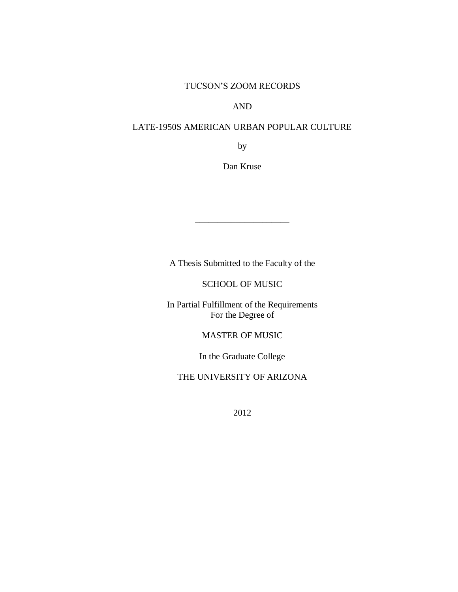## TUCSON'S ZOOM RECORDS

## AND

## LATE-1950S AMERICAN URBAN POPULAR CULTURE

by

Dan Kruse

A Thesis Submitted to the Faculty of the

\_\_\_\_\_\_\_\_\_\_\_\_\_\_\_\_\_\_\_\_\_

SCHOOL OF MUSIC

In Partial Fulfillment of the Requirements For the Degree of

MASTER OF MUSIC

In the Graduate College

THE UNIVERSITY OF ARIZONA

2012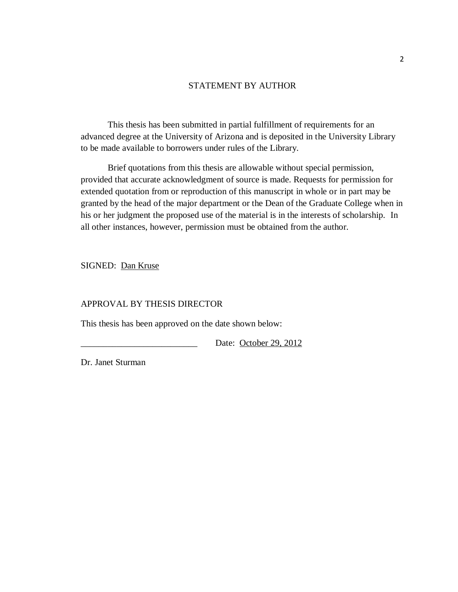## STATEMENT BY AUTHOR

This thesis has been submitted in partial fulfillment of requirements for an advanced degree at the University of Arizona and is deposited in the University Library to be made available to borrowers under rules of the Library.

Brief quotations from this thesis are allowable without special permission, provided that accurate acknowledgment of source is made. Requests for permission for extended quotation from or reproduction of this manuscript in whole or in part may be granted by the head of the major department or the Dean of the Graduate College when in his or her judgment the proposed use of the material is in the interests of scholarship. In all other instances, however, permission must be obtained from the author.

SIGNED: Dan Kruse

## APPROVAL BY THESIS DIRECTOR

This thesis has been approved on the date shown below:

Date: October 29, 2012

Dr. Janet Sturman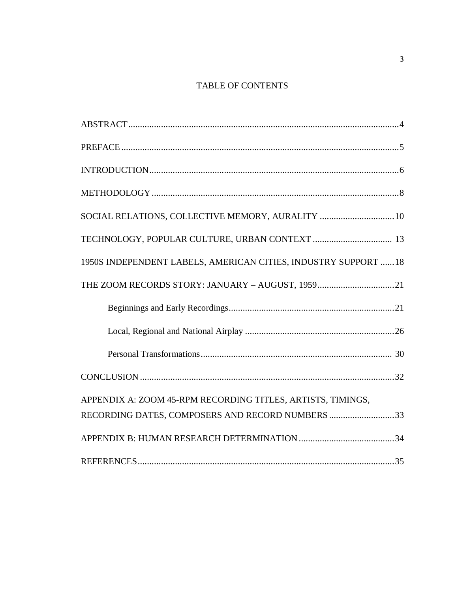# TABLE OF CONTENTS

| SOCIAL RELATIONS, COLLECTIVE MEMORY, AURALITY 10                |
|-----------------------------------------------------------------|
|                                                                 |
| 1950S INDEPENDENT LABELS, AMERICAN CITIES, INDUSTRY SUPPORT  18 |
| THE ZOOM RECORDS STORY: JANUARY - AUGUST, 195921                |
|                                                                 |
|                                                                 |
|                                                                 |
|                                                                 |
| APPENDIX A: ZOOM 45-RPM RECORDING TITLES, ARTISTS, TIMINGS,     |
| RECORDING DATES, COMPOSERS AND RECORD NUMBERS 33                |
|                                                                 |
|                                                                 |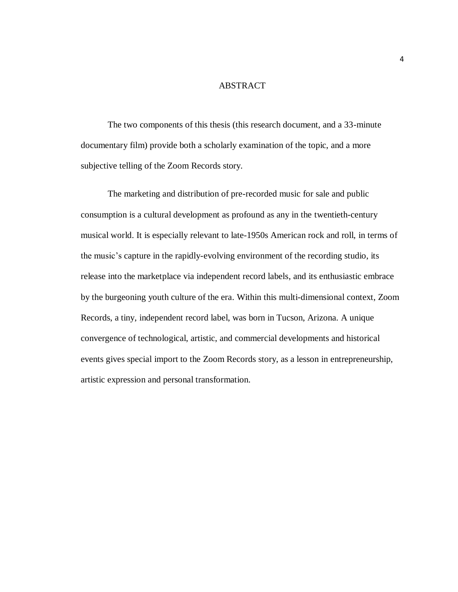#### ABSTRACT

The two components of this thesis (this research document, and a 33-minute documentary film) provide both a scholarly examination of the topic, and a more subjective telling of the Zoom Records story.

The marketing and distribution of pre-recorded music for sale and public consumption is a cultural development as profound as any in the twentieth-century musical world. It is especially relevant to late-1950s American rock and roll, in terms of the music's capture in the rapidly-evolving environment of the recording studio, its release into the marketplace via independent record labels, and its enthusiastic embrace by the burgeoning youth culture of the era. Within this multi-dimensional context, Zoom Records, a tiny, independent record label, was born in Tucson, Arizona. A unique convergence of technological, artistic, and commercial developments and historical events gives special import to the Zoom Records story, as a lesson in entrepreneurship, artistic expression and personal transformation.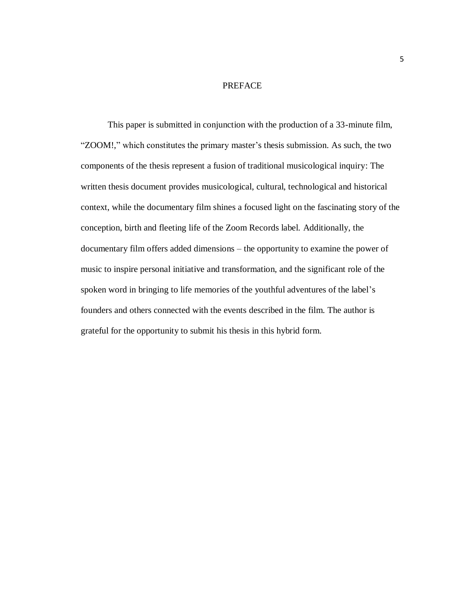#### PREFACE

This paper is submitted in conjunction with the production of a 33-minute film, "ZOOM!," which constitutes the primary master's thesis submission. As such, the two components of the thesis represent a fusion of traditional musicological inquiry: The written thesis document provides musicological, cultural, technological and historical context, while the documentary film shines a focused light on the fascinating story of the conception, birth and fleeting life of the Zoom Records label. Additionally, the documentary film offers added dimensions – the opportunity to examine the power of music to inspire personal initiative and transformation, and the significant role of the spoken word in bringing to life memories of the youthful adventures of the label's founders and others connected with the events described in the film. The author is grateful for the opportunity to submit his thesis in this hybrid form.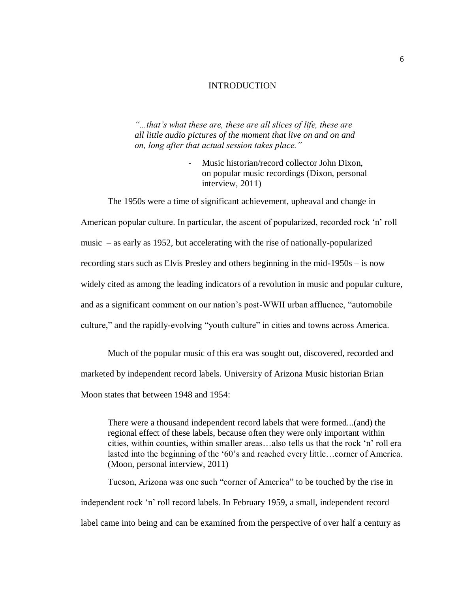#### INTRODUCTION

*"...that's what these are, these are all slices of life, these are all little audio pictures of the moment that live on and on and on, long after that actual session takes place."*

> Music historian/record collector John Dixon. on popular music recordings (Dixon, personal interview, 2011)

The 1950s were a time of significant achievement, upheaval and change in American popular culture. In particular, the ascent of popularized, recorded rock 'n' roll music – as early as 1952, but accelerating with the rise of nationally-popularized recording stars such as Elvis Presley and others beginning in the mid-1950s – is now widely cited as among the leading indicators of a revolution in music and popular culture, and as a significant comment on our nation's post-WWII urban affluence, "automobile culture," and the rapidly-evolving "youth culture" in cities and towns across America.

Much of the popular music of this era was sought out, discovered, recorded and marketed by independent record labels. University of Arizona Music historian Brian Moon states that between 1948 and 1954:

There were a thousand independent record labels that were formed...(and) the regional effect of these labels, because often they were only important within cities, within counties, within smaller areas…also tells us that the rock 'n' roll era lasted into the beginning of the '60's and reached every little…corner of America. (Moon, personal interview, 2011)

Tucson, Arizona was one such "corner of America" to be touched by the rise in independent rock 'n' roll record labels. In February 1959, a small, independent record label came into being and can be examined from the perspective of over half a century as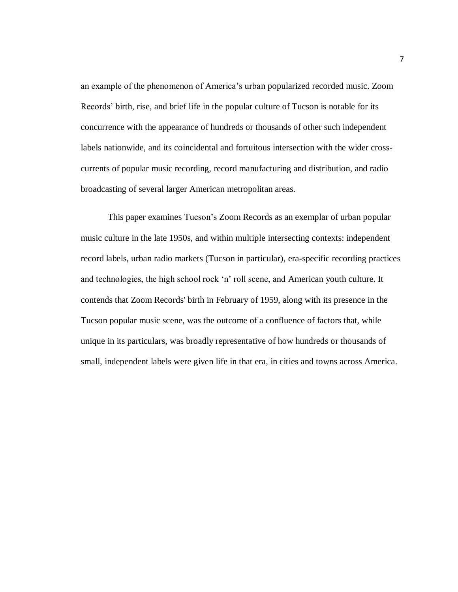an example of the phenomenon of America's urban popularized recorded music. Zoom Records' birth, rise, and brief life in the popular culture of Tucson is notable for its concurrence with the appearance of hundreds or thousands of other such independent labels nationwide, and its coincidental and fortuitous intersection with the wider crosscurrents of popular music recording, record manufacturing and distribution, and radio broadcasting of several larger American metropolitan areas.

This paper examines Tucson's Zoom Records as an exemplar of urban popular music culture in the late 1950s, and within multiple intersecting contexts: independent record labels, urban radio markets (Tucson in particular), era-specific recording practices and technologies, the high school rock 'n' roll scene, and American youth culture. It contends that Zoom Records' birth in February of 1959, along with its presence in the Tucson popular music scene, was the outcome of a confluence of factors that, while unique in its particulars, was broadly representative of how hundreds or thousands of small, independent labels were given life in that era, in cities and towns across America.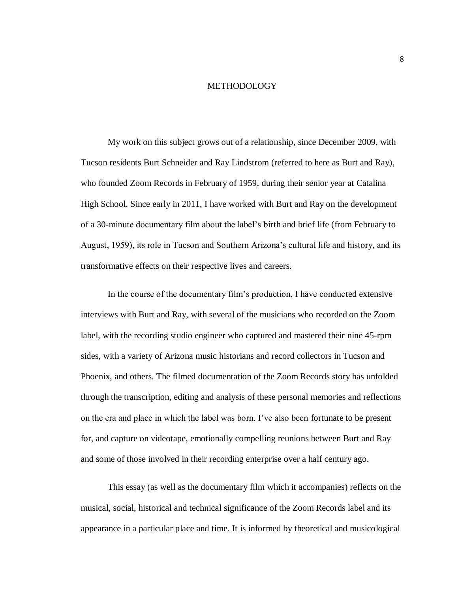#### METHODOLOGY

My work on this subject grows out of a relationship, since December 2009, with Tucson residents Burt Schneider and Ray Lindstrom (referred to here as Burt and Ray), who founded Zoom Records in February of 1959, during their senior year at Catalina High School. Since early in 2011, I have worked with Burt and Ray on the development of a 30-minute documentary film about the label's birth and brief life (from February to August, 1959), its role in Tucson and Southern Arizona's cultural life and history, and its transformative effects on their respective lives and careers.

In the course of the documentary film's production, I have conducted extensive interviews with Burt and Ray, with several of the musicians who recorded on the Zoom label, with the recording studio engineer who captured and mastered their nine 45-rpm sides, with a variety of Arizona music historians and record collectors in Tucson and Phoenix, and others. The filmed documentation of the Zoom Records story has unfolded through the transcription, editing and analysis of these personal memories and reflections on the era and place in which the label was born. I've also been fortunate to be present for, and capture on videotape, emotionally compelling reunions between Burt and Ray and some of those involved in their recording enterprise over a half century ago.

This essay (as well as the documentary film which it accompanies) reflects on the musical, social, historical and technical significance of the Zoom Records label and its appearance in a particular place and time. It is informed by theoretical and musicological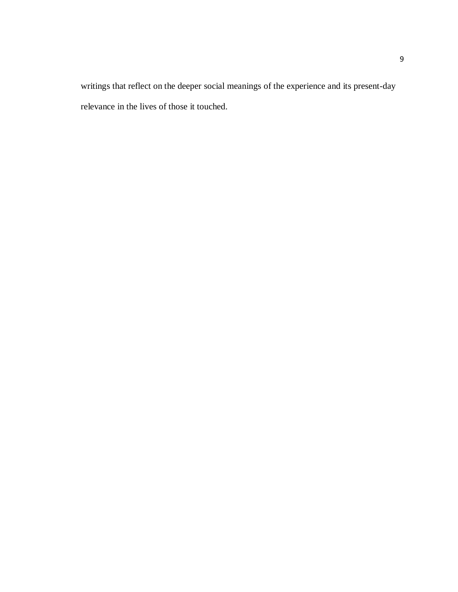writings that reflect on the deeper social meanings of the experience and its present-day relevance in the lives of those it touched.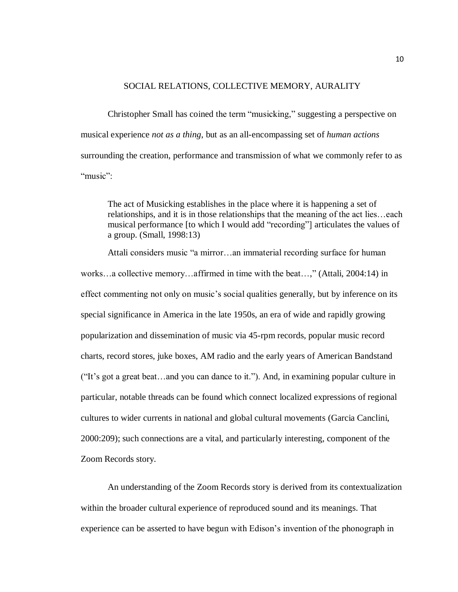## SOCIAL RELATIONS, COLLECTIVE MEMORY, AURALITY

Christopher Small has coined the term "musicking," suggesting a perspective on musical experience *not as a thing*, but as an all-encompassing set of *human actions* surrounding the creation, performance and transmission of what we commonly refer to as "music"<sup>-</sup>

The act of Musicking establishes in the place where it is happening a set of relationships, and it is in those relationships that the meaning of the act lies…each musical performance [to which I would add "recording"] articulates the values of a group. (Small, 1998:13)

Attali considers music "a mirror…an immaterial recording surface for human works…a collective memory…affirmed in time with the beat…," (Attali, 2004:14) in effect commenting not only on music's social qualities generally, but by inference on its special significance in America in the late 1950s, an era of wide and rapidly growing popularization and dissemination of music via 45-rpm records, popular music record charts, record stores, juke boxes, AM radio and the early years of American Bandstand ("It's got a great beat…and you can dance to it."). And, in examining popular culture in particular, notable threads can be found which connect localized expressions of regional cultures to wider currents in national and global cultural movements (Garcia Canclini, 2000:209); such connections are a vital, and particularly interesting, component of the Zoom Records story.

An understanding of the Zoom Records story is derived from its contextualization within the broader cultural experience of reproduced sound and its meanings. That experience can be asserted to have begun with Edison's invention of the phonograph in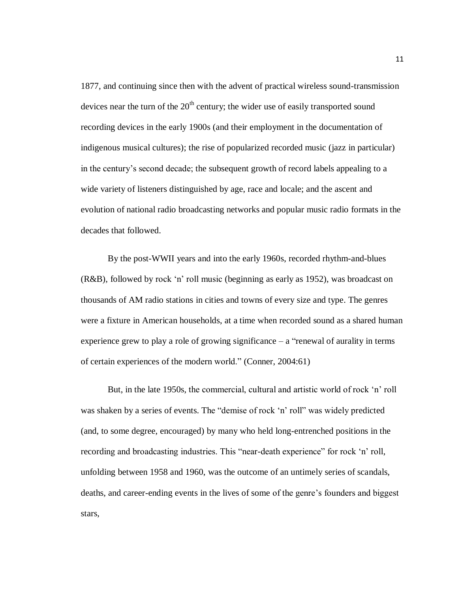1877, and continuing since then with the advent of practical wireless sound-transmission devices near the turn of the  $20<sup>th</sup>$  century; the wider use of easily transported sound recording devices in the early 1900s (and their employment in the documentation of indigenous musical cultures); the rise of popularized recorded music (jazz in particular) in the century's second decade; the subsequent growth of record labels appealing to a wide variety of listeners distinguished by age, race and locale; and the ascent and evolution of national radio broadcasting networks and popular music radio formats in the decades that followed.

By the post-WWII years and into the early 1960s, recorded rhythm-and-blues (R&B), followed by rock 'n' roll music (beginning as early as 1952), was broadcast on thousands of AM radio stations in cities and towns of every size and type. The genres were a fixture in American households, at a time when recorded sound as a shared human experience grew to play a role of growing significance – a "renewal of aurality in terms of certain experiences of the modern world." (Conner, 2004:61)

But, in the late 1950s, the commercial, cultural and artistic world of rock 'n' roll was shaken by a series of events. The "demise of rock 'n' roll" was widely predicted (and, to some degree, encouraged) by many who held long-entrenched positions in the recording and broadcasting industries. This "near-death experience" for rock 'n' roll, unfolding between 1958 and 1960, was the outcome of an untimely series of scandals, deaths, and career-ending events in the lives of some of the genre's founders and biggest stars,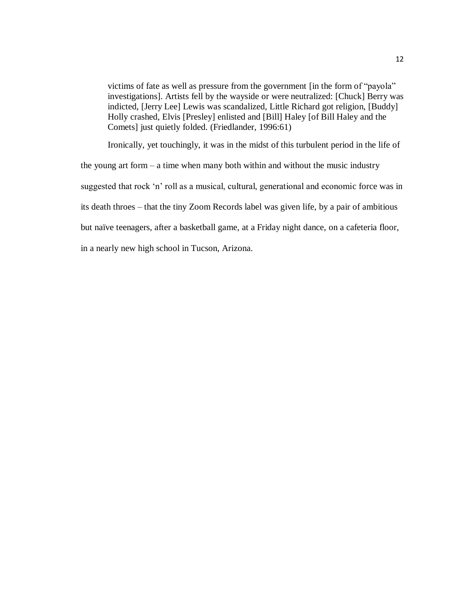victims of fate as well as pressure from the government [in the form of "payola" investigations]. Artists fell by the wayside or were neutralized: [Chuck] Berry was indicted, [Jerry Lee] Lewis was scandalized, Little Richard got religion, [Buddy] Holly crashed, Elvis [Presley] enlisted and [Bill] Haley [of Bill Haley and the Comets] just quietly folded. (Friedlander, 1996:61)

Ironically, yet touchingly, it was in the midst of this turbulent period in the life of the young art form – a time when many both within and without the music industry suggested that rock 'n' roll as a musical, cultural, generational and economic force was in its death throes – that the tiny Zoom Records label was given life, by a pair of ambitious but naïve teenagers, after a basketball game, at a Friday night dance, on a cafeteria floor, in a nearly new high school in Tucson, Arizona.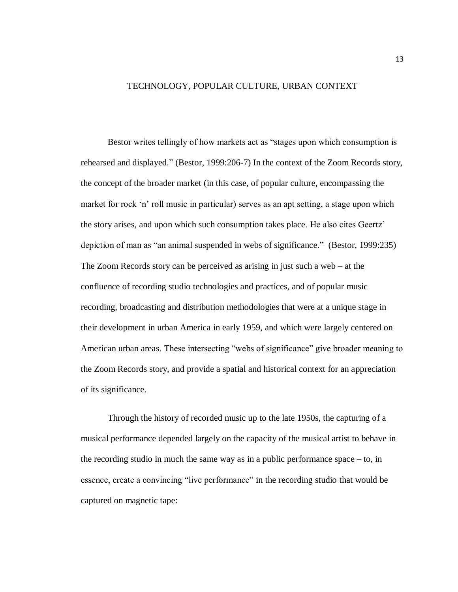## TECHNOLOGY, POPULAR CULTURE, URBAN CONTEXT

Bestor writes tellingly of how markets act as "stages upon which consumption is rehearsed and displayed." (Bestor, 1999:206-7) In the context of the Zoom Records story, the concept of the broader market (in this case, of popular culture, encompassing the market for rock 'n' roll music in particular) serves as an apt setting, a stage upon which the story arises, and upon which such consumption takes place. He also cites Geertz' depiction of man as "an animal suspended in webs of significance." (Bestor, 1999:235) The Zoom Records story can be perceived as arising in just such a web – at the confluence of recording studio technologies and practices, and of popular music recording, broadcasting and distribution methodologies that were at a unique stage in their development in urban America in early 1959, and which were largely centered on American urban areas. These intersecting "webs of significance" give broader meaning to the Zoom Records story, and provide a spatial and historical context for an appreciation of its significance.

Through the history of recorded music up to the late 1950s, the capturing of a musical performance depended largely on the capacity of the musical artist to behave in the recording studio in much the same way as in a public performance space – to, in essence, create a convincing "live performance" in the recording studio that would be captured on magnetic tape:

13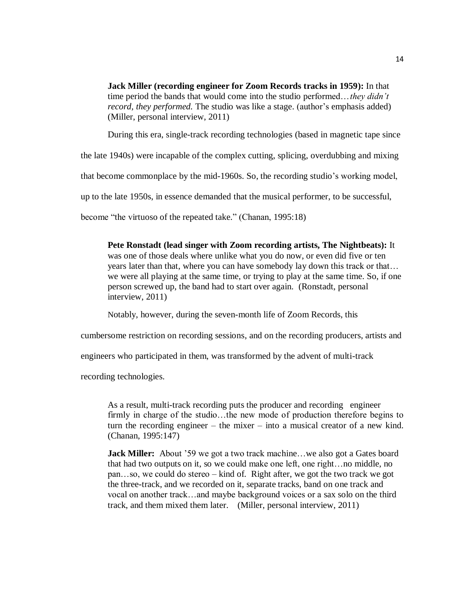**Jack Miller (recording engineer for Zoom Records tracks in 1959):** In that time period the bands that would come into the studio performed…*they didn't record, they performed.* The studio was like a stage. (author's emphasis added) (Miller, personal interview, 2011)

During this era, single-track recording technologies (based in magnetic tape since

the late 1940s) were incapable of the complex cutting, splicing, overdubbing and mixing

that become commonplace by the mid-1960s. So, the recording studio's working model,

up to the late 1950s, in essence demanded that the musical performer, to be successful,

become "the virtuoso of the repeated take." (Chanan, 1995:18)

**Pete Ronstadt (lead singer with Zoom recording artists, The Nightbeats):** It was one of those deals where unlike what you do now, or even did five or ten years later than that, where you can have somebody lay down this track or that… we were all playing at the same time, or trying to play at the same time. So, if one person screwed up, the band had to start over again. (Ronstadt, personal interview, 2011)

Notably, however, during the seven-month life of Zoom Records, this

cumbersome restriction on recording sessions, and on the recording producers, artists and

engineers who participated in them, was transformed by the advent of multi-track

recording technologies.

As a result, multi-track recording puts the producer and recording engineer firmly in charge of the studio…the new mode of production therefore begins to turn the recording engineer – the mixer – into a musical creator of a new kind. (Chanan, 1995:147)

**Jack Miller:** About '59 we got a two track machine...we also got a Gates board that had two outputs on it, so we could make one left, one right…no middle, no pan…so, we could do stereo – kind of. Right after, we got the two track we got the three-track, and we recorded on it, separate tracks, band on one track and vocal on another track…and maybe background voices or a sax solo on the third track, and them mixed them later. (Miller, personal interview, 2011)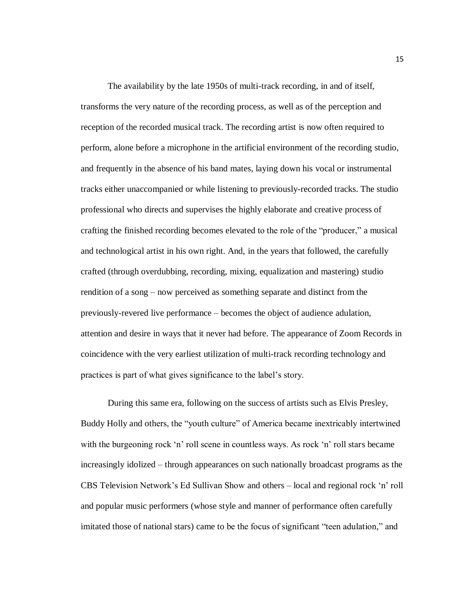The availability by the late 1950s of multi-track recording, in and of itself, transforms the very nature of the recording process, as well as of the perception and reception of the recorded musical track. The recording artist is now often required to perform, alone before a microphone in the artificial environment of the recording studio, and frequently in the absence of his band mates, laying down his vocal or instrumental tracks either unaccompanied or while listening to previously-recorded tracks. The studio professional who directs and supervises the highly elaborate and creative process of crafting the finished recording becomes elevated to the role of the "producer," a musical and technological artist in his own right. And, in the years that followed, the carefully crafted (through overdubbing, recording, mixing, equalization and mastering) studio rendition of a song – now perceived as something separate and distinct from the previously-revered live performance – becomes the object of audience adulation, attention and desire in ways that it never had before. The appearance of Zoom Records in coincidence with the very earliest utilization of multi-track recording technology and practices is part of what gives significance to the label's story.

During this same era, following on the success of artists such as Elvis Presley, Buddy Holly and others, the "youth culture" of America became inextricably intertwined with the burgeoning rock 'n' roll scene in countless ways. As rock 'n' roll stars became increasingly idolized – through appearances on such nationally broadcast programs as the CBS Television Network's Ed Sullivan Show and others – local and regional rock 'n' roll and popular music performers (whose style and manner of performance often carefully imitated those of national stars) came to be the focus of significant "teen adulation," and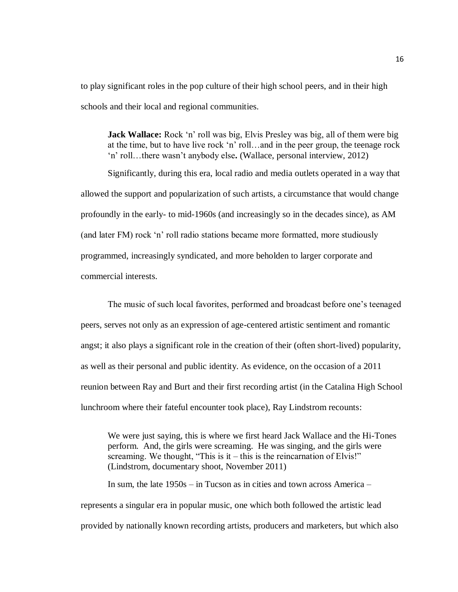to play significant roles in the pop culture of their high school peers, and in their high schools and their local and regional communities.

**Jack Wallace:** Rock 'n' roll was big, Elvis Presley was big, all of them were big at the time, but to have live rock 'n' roll…and in the peer group, the teenage rock 'n' roll…there wasn't anybody else**.** (Wallace, personal interview, 2012)

Significantly, during this era, local radio and media outlets operated in a way that allowed the support and popularization of such artists, a circumstance that would change profoundly in the early- to mid-1960s (and increasingly so in the decades since), as AM (and later FM) rock 'n' roll radio stations became more formatted, more studiously programmed, increasingly syndicated, and more beholden to larger corporate and commercial interests.

The music of such local favorites, performed and broadcast before one's teenaged peers, serves not only as an expression of age-centered artistic sentiment and romantic angst; it also plays a significant role in the creation of their (often short-lived) popularity, as well as their personal and public identity. As evidence, on the occasion of a 2011 reunion between Ray and Burt and their first recording artist (in the Catalina High School lunchroom where their fateful encounter took place), Ray Lindstrom recounts:

We were just saying, this is where we first heard Jack Wallace and the Hi-Tones perform. And, the girls were screaming. He was singing, and the girls were screaming. We thought, "This is it – this is the reincarnation of Elvis!" (Lindstrom, documentary shoot, November 2011)

In sum, the late 1950s – in Tucson as in cities and town across America – represents a singular era in popular music, one which both followed the artistic lead provided by nationally known recording artists, producers and marketers, but which also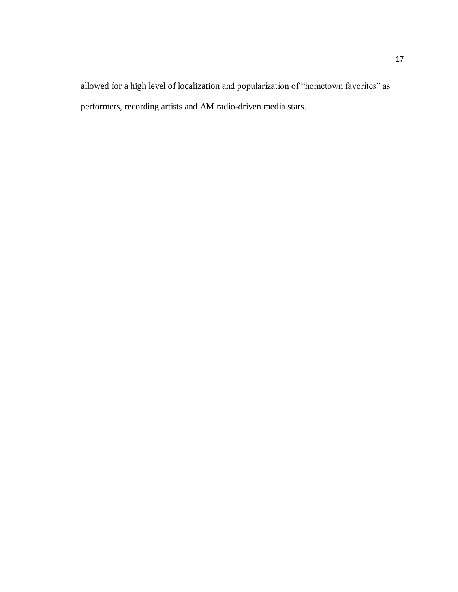allowed for a high level of localization and popularization of "hometown favorites" as performers, recording artists and AM radio-driven media stars.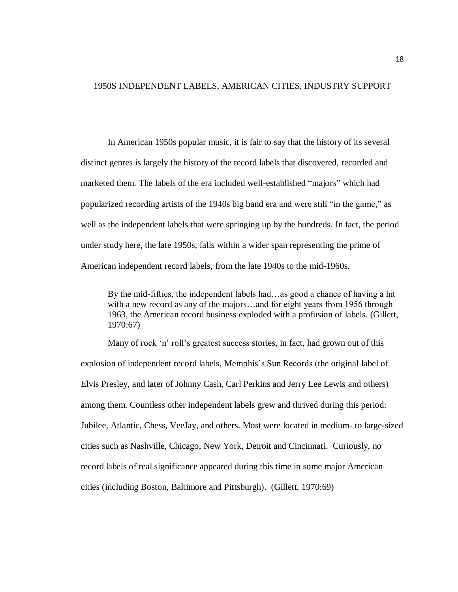## 1950S INDEPENDENT LABELS, AMERICAN CITIES, INDUSTRY SUPPORT

In American 1950s popular music, it is fair to say that the history of its several distinct genres is largely the history of the record labels that discovered, recorded and marketed them. The labels of the era included well-established "majors" which had popularized recording artists of the 1940s big band era and were still "in the game," as well as the independent labels that were springing up by the hundreds. In fact, the period under study here, the late 1950s, falls within a wider span representing the prime of American independent record labels, from the late 1940s to the mid-1960s.

By the mid-fifties, the independent labels had…as good a chance of having a hit with a new record as any of the majors...and for eight years from 1956 through 1963, the American record business exploded with a profusion of labels. (Gillett, 1970:67)

Many of rock 'n' roll's greatest success stories, in fact, had grown out of this explosion of independent record labels, Memphis's Sun Records (the original label of Elvis Presley, and later of Johnny Cash, Carl Perkins and Jerry Lee Lewis and others) among them. Countless other independent labels grew and thrived during this period: Jubilee, Atlantic, Chess, VeeJay, and others. Most were located in medium- to large-sized cities such as Nashville, Chicago, New York, Detroit and Cincinnati. Curiously, no record labels of real significance appeared during this time in some major American cities (including Boston, Baltimore and Pittsburgh). (Gillett, 1970:69)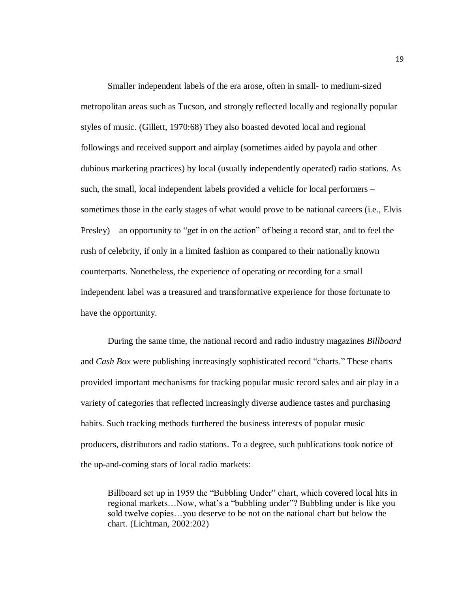Smaller independent labels of the era arose, often in small- to medium-sized metropolitan areas such as Tucson, and strongly reflected locally and regionally popular styles of music. (Gillett, 1970:68) They also boasted devoted local and regional followings and received support and airplay (sometimes aided by payola and other dubious marketing practices) by local (usually independently operated) radio stations. As such, the small, local independent labels provided a vehicle for local performers – sometimes those in the early stages of what would prove to be national careers (i.e., Elvis Presley) – an opportunity to "get in on the action" of being a record star, and to feel the rush of celebrity, if only in a limited fashion as compared to their nationally known counterparts. Nonetheless, the experience of operating or recording for a small independent label was a treasured and transformative experience for those fortunate to have the opportunity.

During the same time, the national record and radio industry magazines *Billboard* and *Cash Box* were publishing increasingly sophisticated record "charts." These charts provided important mechanisms for tracking popular music record sales and air play in a variety of categories that reflected increasingly diverse audience tastes and purchasing habits. Such tracking methods furthered the business interests of popular music producers, distributors and radio stations. To a degree, such publications took notice of the up-and-coming stars of local radio markets:

Billboard set up in 1959 the "Bubbling Under" chart, which covered local hits in regional markets…Now, what's a "bubbling under"? Bubbling under is like you sold twelve copies…you deserve to be not on the national chart but below the chart. (Lichtman, 2002:202)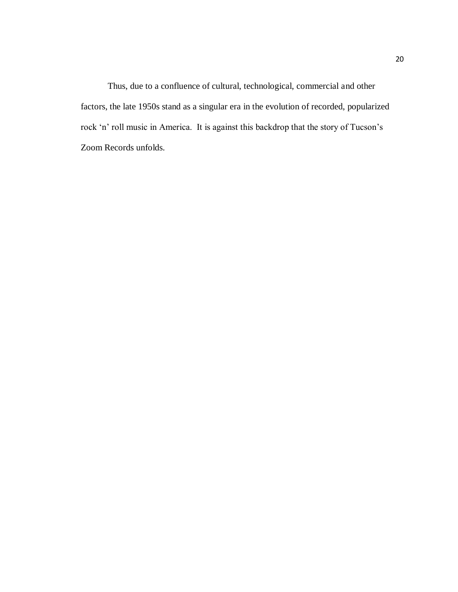Thus, due to a confluence of cultural, technological, commercial and other factors, the late 1950s stand as a singular era in the evolution of recorded, popularized rock 'n' roll music in America. It is against this backdrop that the story of Tucson's Zoom Records unfolds.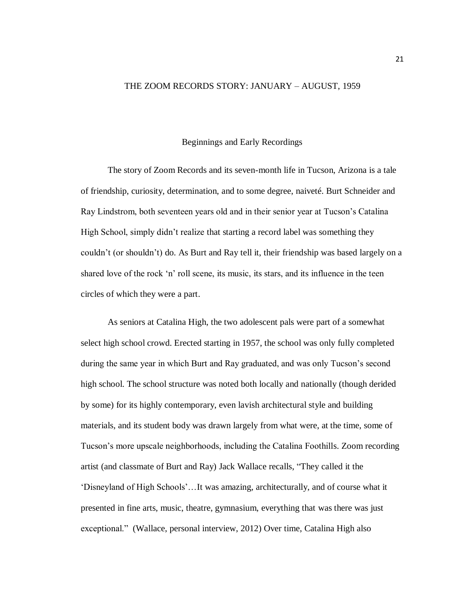## THE ZOOM RECORDS STORY: JANUARY – AUGUST, 1959

## Beginnings and Early Recordings

The story of Zoom Records and its seven-month life in Tucson, Arizona is a tale of friendship, curiosity, determination, and to some degree, naiveté. Burt Schneider and Ray Lindstrom, both seventeen years old and in their senior year at Tucson's Catalina High School, simply didn't realize that starting a record label was something they couldn't (or shouldn't) do. As Burt and Ray tell it, their friendship was based largely on a shared love of the rock 'n' roll scene, its music, its stars, and its influence in the teen circles of which they were a part.

As seniors at Catalina High, the two adolescent pals were part of a somewhat select high school crowd. Erected starting in 1957, the school was only fully completed during the same year in which Burt and Ray graduated, and was only Tucson's second high school. The school structure was noted both locally and nationally (though derided by some) for its highly contemporary, even lavish architectural style and building materials, and its student body was drawn largely from what were, at the time, some of Tucson's more upscale neighborhoods, including the Catalina Foothills. Zoom recording artist (and classmate of Burt and Ray) Jack Wallace recalls, "They called it the 'Disneyland of High Schools'…It was amazing, architecturally, and of course what it presented in fine arts, music, theatre, gymnasium, everything that was there was just exceptional." (Wallace, personal interview, 2012) Over time, Catalina High also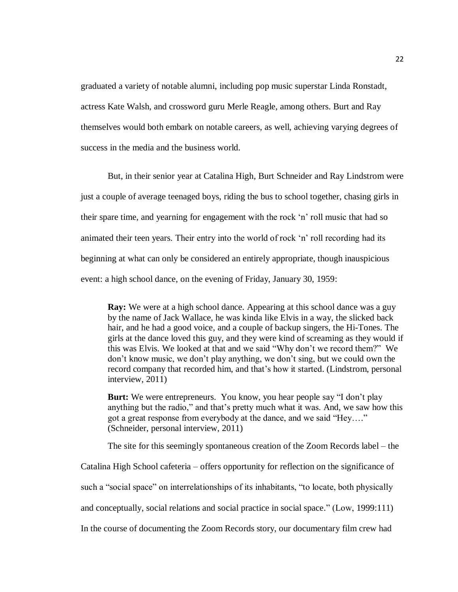graduated a variety of notable alumni, including pop music superstar Linda Ronstadt, actress Kate Walsh, and crossword guru Merle Reagle, among others. Burt and Ray themselves would both embark on notable careers, as well, achieving varying degrees of success in the media and the business world.

But, in their senior year at Catalina High, Burt Schneider and Ray Lindstrom were just a couple of average teenaged boys, riding the bus to school together, chasing girls in their spare time, and yearning for engagement with the rock 'n' roll music that had so animated their teen years. Their entry into the world of rock 'n' roll recording had its beginning at what can only be considered an entirely appropriate, though inauspicious event: a high school dance, on the evening of Friday, January 30, 1959:

**Ray:** We were at a high school dance. Appearing at this school dance was a guy by the name of Jack Wallace, he was kinda like Elvis in a way, the slicked back hair, and he had a good voice, and a couple of backup singers, the Hi-Tones. The girls at the dance loved this guy, and they were kind of screaming as they would if this was Elvis. We looked at that and we said "Why don't we record them?" We don't know music, we don't play anything, we don't sing, but we could own the record company that recorded him, and that's how it started. (Lindstrom, personal interview, 2011)

**Burt:** We were entrepreneurs. You know, you hear people say "I don't play anything but the radio," and that's pretty much what it was. And, we saw how this got a great response from everybody at the dance, and we said "Hey…." (Schneider, personal interview, 2011)

The site for this seemingly spontaneous creation of the Zoom Records label – the

Catalina High School cafeteria – offers opportunity for reflection on the significance of

such a "social space" on interrelationships of its inhabitants, "to locate, both physically

and conceptually, social relations and social practice in social space." (Low, 1999:111)

In the course of documenting the Zoom Records story, our documentary film crew had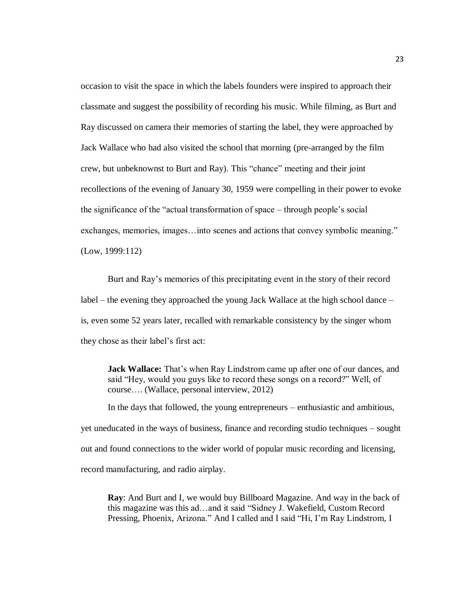occasion to visit the space in which the labels founders were inspired to approach their classmate and suggest the possibility of recording his music. While filming, as Burt and Ray discussed on camera their memories of starting the label, they were approached by Jack Wallace who had also visited the school that morning (pre-arranged by the film crew, but unbeknownst to Burt and Ray). This "chance" meeting and their joint recollections of the evening of January 30, 1959 were compelling in their power to evoke the significance of the "actual transformation of space – through people's social exchanges, memories, images…into scenes and actions that convey symbolic meaning." (Low, 1999:112)

Burt and Ray's memories of this precipitating event in the story of their record label – the evening they approached the young Jack Wallace at the high school dance – is, even some 52 years later, recalled with remarkable consistency by the singer whom they chose as their label's first act:

**Jack Wallace:** That's when Ray Lindstrom came up after one of our dances, and said "Hey, would you guys like to record these songs on a record?" Well, of course…. (Wallace, personal interview, 2012)

In the days that followed, the young entrepreneurs – enthusiastic and ambitious, yet uneducated in the ways of business, finance and recording studio techniques – sought out and found connections to the wider world of popular music recording and licensing, record manufacturing, and radio airplay.

**Ray**: And Burt and I, we would buy Billboard Magazine. And way in the back of this magazine was this ad…and it said "Sidney J. Wakefield, Custom Record Pressing, Phoenix, Arizona." And I called and I said "Hi, I'm Ray Lindstrom, I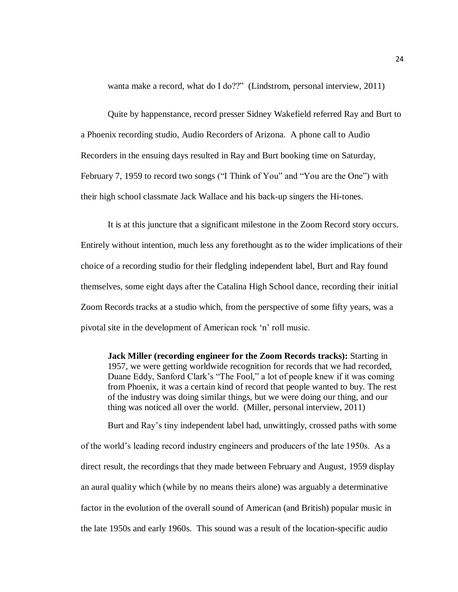wanta make a record, what do I do??" (Lindstrom, personal interview, 2011)

Quite by happenstance, record presser Sidney Wakefield referred Ray and Burt to a Phoenix recording studio, Audio Recorders of Arizona. A phone call to Audio Recorders in the ensuing days resulted in Ray and Burt booking time on Saturday, February 7, 1959 to record two songs ("I Think of You" and "You are the One") with their high school classmate Jack Wallace and his back-up singers the Hi-tones.

It is at this juncture that a significant milestone in the Zoom Record story occurs. Entirely without intention, much less any forethought as to the wider implications of their choice of a recording studio for their fledgling independent label, Burt and Ray found themselves, some eight days after the Catalina High School dance, recording their initial Zoom Records tracks at a studio which, from the perspective of some fifty years, was a pivotal site in the development of American rock 'n' roll music.

**Jack Miller (recording engineer for the Zoom Records tracks):** Starting in 1957, we were getting worldwide recognition for records that we had recorded, Duane Eddy, Sanford Clark's "The Fool," a lot of people knew if it was coming from Phoenix, it was a certain kind of record that people wanted to buy. The rest of the industry was doing similar things, but we were doing our thing, and our thing was noticed all over the world. (Miller, personal interview, 2011)

Burt and Ray's tiny independent label had, unwittingly, crossed paths with some of the world's leading record industry engineers and producers of the late 1950s. As a direct result, the recordings that they made between February and August, 1959 display an aural quality which (while by no means theirs alone) was arguably a determinative factor in the evolution of the overall sound of American (and British) popular music in the late 1950s and early 1960s. This sound was a result of the location-specific audio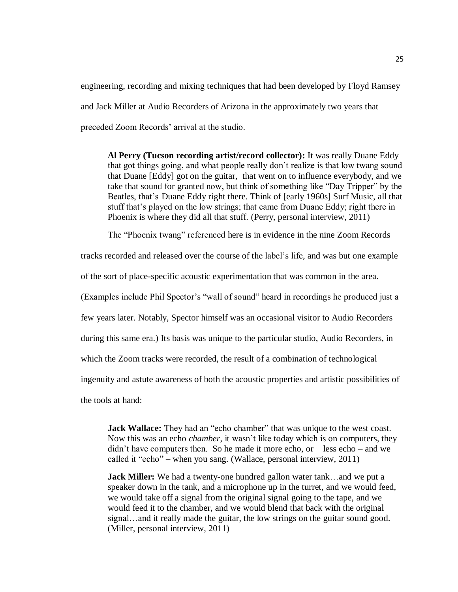engineering, recording and mixing techniques that had been developed by Floyd Ramsey and Jack Miller at Audio Recorders of Arizona in the approximately two years that preceded Zoom Records' arrival at the studio.

**Al Perry (Tucson recording artist/record collector):** It was really Duane Eddy that got things going, and what people really don't realize is that low twang sound that Duane [Eddy] got on the guitar, that went on to influence everybody, and we take that sound for granted now, but think of something like "Day Tripper" by the Beatles, that's Duane Eddy right there. Think of [early 1960s] Surf Music, all that stuff that's played on the low strings; that came from Duane Eddy; right there in Phoenix is where they did all that stuff. (Perry, personal interview, 2011)

The "Phoenix twang" referenced here is in evidence in the nine Zoom Records

tracks recorded and released over the course of the label's life, and was but one example

of the sort of place-specific acoustic experimentation that was common in the area.

(Examples include Phil Spector's "wall of sound" heard in recordings he produced just a

few years later. Notably, Spector himself was an occasional visitor to Audio Recorders

during this same era.) Its basis was unique to the particular studio, Audio Recorders, in

which the Zoom tracks were recorded, the result of a combination of technological

ingenuity and astute awareness of both the acoustic properties and artistic possibilities of

the tools at hand:

**Jack Wallace:** They had an "echo chamber" that was unique to the west coast. Now this was an echo *chamber*, it wasn't like today which is on computers, they didn't have computers then. So he made it more echo, or less echo – and we called it "echo" – when you sang. (Wallace, personal interview, 2011)

**Jack Miller:** We had a twenty-one hundred gallon water tank…and we put a speaker down in the tank, and a microphone up in the turret, and we would feed, we would take off a signal from the original signal going to the tape, and we would feed it to the chamber, and we would blend that back with the original signal…and it really made the guitar, the low strings on the guitar sound good. (Miller, personal interview, 2011)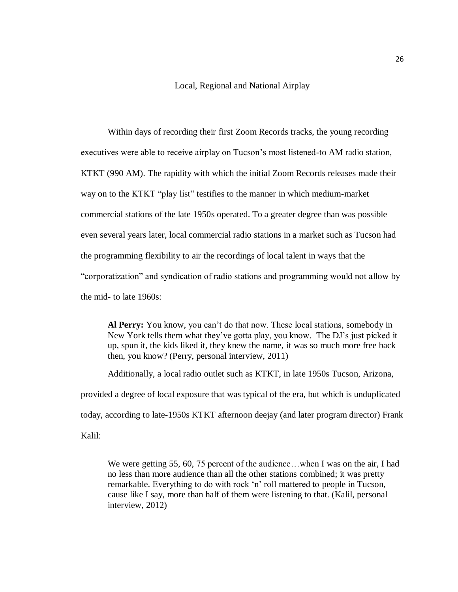Local, Regional and National Airplay

Within days of recording their first Zoom Records tracks, the young recording executives were able to receive airplay on Tucson's most listened-to AM radio station, KTKT (990 AM). The rapidity with which the initial Zoom Records releases made their way on to the KTKT "play list" testifies to the manner in which medium-market commercial stations of the late 1950s operated. To a greater degree than was possible even several years later, local commercial radio stations in a market such as Tucson had the programming flexibility to air the recordings of local talent in ways that the "corporatization" and syndication of radio stations and programming would not allow by the mid- to late 1960s:

**Al Perry:** You know, you can't do that now. These local stations, somebody in New York tells them what they've gotta play, you know. The DJ's just picked it up, spun it, the kids liked it, they knew the name, it was so much more free back then, you know? (Perry, personal interview, 2011)

Additionally, a local radio outlet such as KTKT, in late 1950s Tucson, Arizona,

provided a degree of local exposure that was typical of the era, but which is unduplicated today, according to late-1950s KTKT afternoon deejay (and later program director) Frank Kalil:

We were getting 55, 60, 75 percent of the audience...when I was on the air, I had no less than more audience than all the other stations combined; it was pretty remarkable. Everything to do with rock 'n' roll mattered to people in Tucson, cause like I say, more than half of them were listening to that. (Kalil, personal interview, 2012)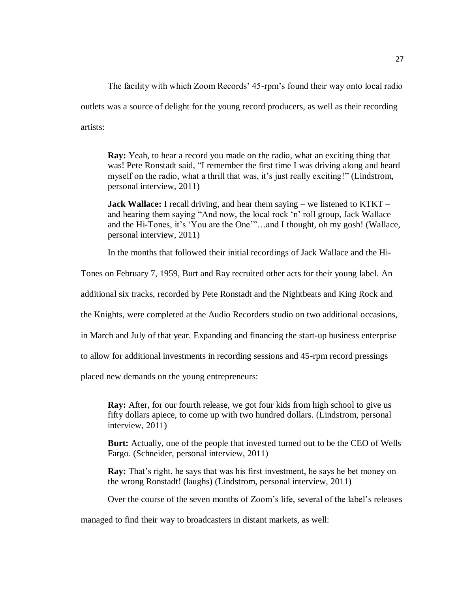The facility with which Zoom Records' 45-rpm's found their way onto local radio outlets was a source of delight for the young record producers, as well as their recording artists:

**Ray:** Yeah, to hear a record you made on the radio, what an exciting thing that was! Pete Ronstadt said, "I remember the first time I was driving along and heard myself on the radio, what a thrill that was, it's just really exciting!" (Lindstrom, personal interview, 2011)

**Jack Wallace:** I recall driving, and hear them saying – we listened to KTKT – and hearing them saying "And now, the local rock 'n' roll group, Jack Wallace and the Hi-Tones, it's 'You are the One'"…and I thought, oh my gosh! (Wallace, personal interview, 2011)

In the months that followed their initial recordings of Jack Wallace and the Hi-

Tones on February 7, 1959, Burt and Ray recruited other acts for their young label. An

additional six tracks, recorded by Pete Ronstadt and the Nightbeats and King Rock and

the Knights, were completed at the Audio Recorders studio on two additional occasions,

in March and July of that year. Expanding and financing the start-up business enterprise

to allow for additional investments in recording sessions and 45-rpm record pressings

placed new demands on the young entrepreneurs:

**Ray:** After, for our fourth release, we got four kids from high school to give us fifty dollars apiece, to come up with two hundred dollars. (Lindstrom, personal interview, 2011)

**Burt:** Actually, one of the people that invested turned out to be the CEO of Wells Fargo. (Schneider, personal interview, 2011)

**Ray:** That's right, he says that was his first investment, he says he bet money on the wrong Ronstadt! (laughs) (Lindstrom, personal interview, 2011)

Over the course of the seven months of Zoom's life, several of the label's releases

managed to find their way to broadcasters in distant markets, as well: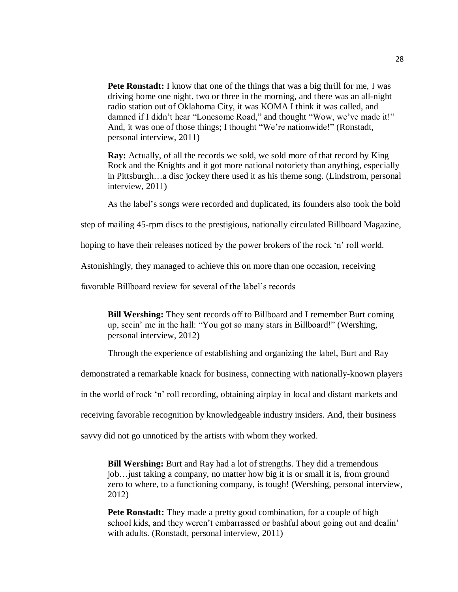**Pete Ronstadt:** I know that one of the things that was a big thrill for me, I was driving home one night, two or three in the morning, and there was an all-night radio station out of Oklahoma City, it was KOMA I think it was called, and damned if I didn't hear "Lonesome Road," and thought "Wow, we've made it!" And, it was one of those things; I thought "We're nationwide!" (Ronstadt, personal interview, 2011)

**Ray:** Actually, of all the records we sold, we sold more of that record by King Rock and the Knights and it got more national notoriety than anything, especially in Pittsburgh…a disc jockey there used it as his theme song. (Lindstrom, personal interview, 2011)

As the label's songs were recorded and duplicated, its founders also took the bold

step of mailing 45-rpm discs to the prestigious, nationally circulated Billboard Magazine,

hoping to have their releases noticed by the power brokers of the rock 'n' roll world.

Astonishingly, they managed to achieve this on more than one occasion, receiving

favorable Billboard review for several of the label's records

**Bill Wershing:** They sent records off to Billboard and I remember Burt coming up, seein' me in the hall: "You got so many stars in Billboard!" (Wershing, personal interview, 2012)

Through the experience of establishing and organizing the label, Burt and Ray

demonstrated a remarkable knack for business, connecting with nationally-known players

in the world of rock 'n' roll recording, obtaining airplay in local and distant markets and

receiving favorable recognition by knowledgeable industry insiders. And, their business

savvy did not go unnoticed by the artists with whom they worked.

**Bill Wershing:** Burt and Ray had a lot of strengths. They did a tremendous job…just taking a company, no matter how big it is or small it is, from ground zero to where, to a functioning company, is tough! (Wershing, personal interview, 2012)

**Pete Ronstadt:** They made a pretty good combination, for a couple of high school kids, and they weren't embarrassed or bashful about going out and dealin' with adults. (Ronstadt, personal interview, 2011)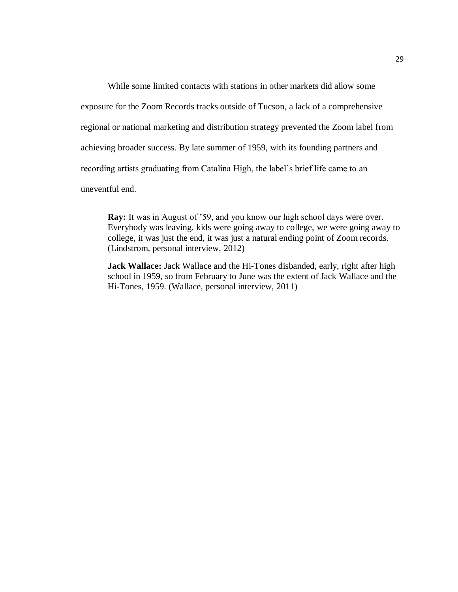While some limited contacts with stations in other markets did allow some exposure for the Zoom Records tracks outside of Tucson, a lack of a comprehensive regional or national marketing and distribution strategy prevented the Zoom label from achieving broader success. By late summer of 1959, with its founding partners and recording artists graduating from Catalina High, the label's brief life came to an uneventful end.

**Ray:** It was in August of '59, and you know our high school days were over. Everybody was leaving, kids were going away to college, we were going away to college, it was just the end, it was just a natural ending point of Zoom records. (Lindstrom, personal interview, 2012)

**Jack Wallace:** Jack Wallace and the Hi-Tones disbanded, early, right after high school in 1959, so from February to June was the extent of Jack Wallace and the Hi-Tones, 1959. (Wallace, personal interview, 2011)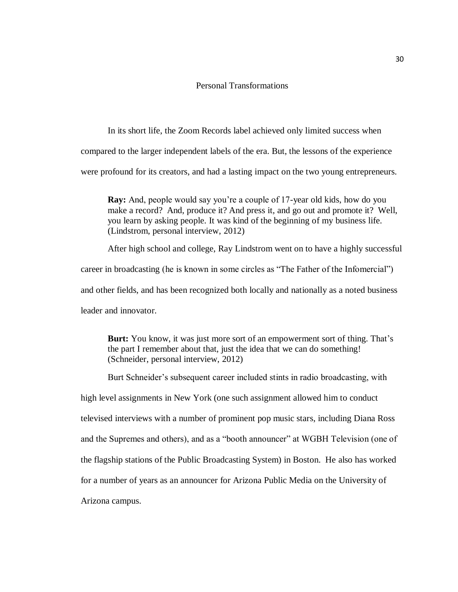## Personal Transformations

In its short life, the Zoom Records label achieved only limited success when compared to the larger independent labels of the era. But, the lessons of the experience were profound for its creators, and had a lasting impact on the two young entrepreneurs.

**Ray:** And, people would say you're a couple of 17-year old kids, how do you make a record? And, produce it? And press it, and go out and promote it? Well, you learn by asking people. It was kind of the beginning of my business life. (Lindstrom, personal interview, 2012)

After high school and college, Ray Lindstrom went on to have a highly successful career in broadcasting (he is known in some circles as "The Father of the Infomercial") and other fields, and has been recognized both locally and nationally as a noted business leader and innovator.

**Burt:** You know, it was just more sort of an empowerment sort of thing. That's the part I remember about that, just the idea that we can do something! (Schneider, personal interview, 2012)

Burt Schneider's subsequent career included stints in radio broadcasting, with

high level assignments in New York (one such assignment allowed him to conduct televised interviews with a number of prominent pop music stars, including Diana Ross and the Supremes and others), and as a "booth announcer" at WGBH Television (one of the flagship stations of the Public Broadcasting System) in Boston. He also has worked for a number of years as an announcer for Arizona Public Media on the University of Arizona campus.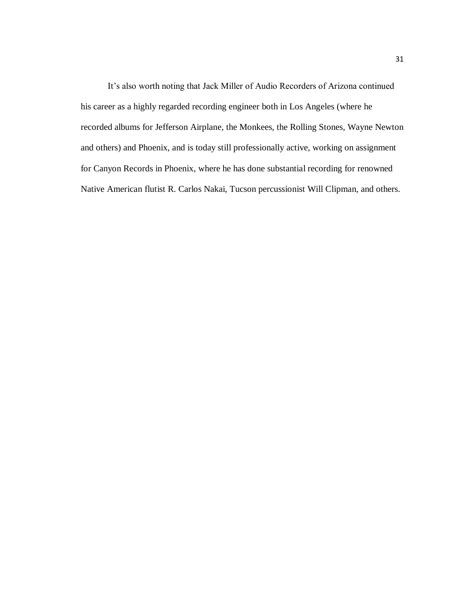It's also worth noting that Jack Miller of Audio Recorders of Arizona continued his career as a highly regarded recording engineer both in Los Angeles (where he recorded albums for Jefferson Airplane, the Monkees, the Rolling Stones, Wayne Newton and others) and Phoenix, and is today still professionally active, working on assignment for Canyon Records in Phoenix, where he has done substantial recording for renowned Native American flutist R. Carlos Nakai, Tucson percussionist Will Clipman, and others.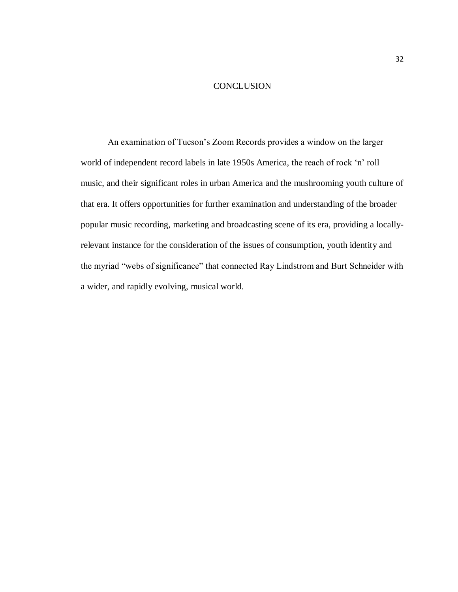#### **CONCLUSION**

An examination of Tucson's Zoom Records provides a window on the larger world of independent record labels in late 1950s America, the reach of rock 'n' roll music, and their significant roles in urban America and the mushrooming youth culture of that era. It offers opportunities for further examination and understanding of the broader popular music recording, marketing and broadcasting scene of its era, providing a locallyrelevant instance for the consideration of the issues of consumption, youth identity and the myriad "webs of significance" that connected Ray Lindstrom and Burt Schneider with a wider, and rapidly evolving, musical world.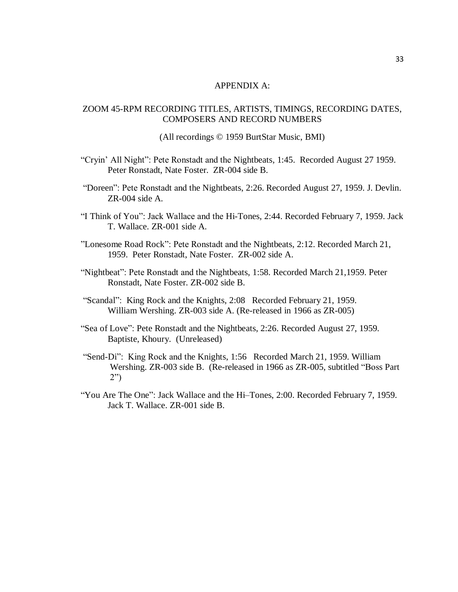## APPENDIX A:

## ZOOM 45-RPM RECORDING TITLES, ARTISTS, TIMINGS, RECORDING DATES, COMPOSERS AND RECORD NUMBERS

(All recordings © 1959 BurtStar Music, BMI)

- "Cryin' All Night": Pete Ronstadt and the Nightbeats, 1:45. Recorded August 27 1959. Peter Ronstadt, Nate Foster. ZR-004 side B.
- "Doreen": Pete Ronstadt and the Nightbeats, 2:26. Recorded August 27, 1959. J. Devlin. ZR-004 side A.
- "I Think of You": Jack Wallace and the Hi-Tones, 2:44. Recorded February 7, 1959. Jack T. Wallace. ZR-001 side A.
- "Lonesome Road Rock": Pete Ronstadt and the Nightbeats, 2:12. Recorded March 21, 1959. Peter Ronstadt, Nate Foster. ZR-002 side A.
- "Nightbeat": Pete Ronstadt and the Nightbeats, 1:58. Recorded March 21,1959. Peter Ronstadt, Nate Foster. ZR-002 side B.
- "Scandal": King Rock and the Knights, 2:08 Recorded February 21, 1959. William Wershing. ZR-003 side A. (Re-released in 1966 as ZR-005)
- "Sea of Love": Pete Ronstadt and the Nightbeats, 2:26. Recorded August 27, 1959. Baptiste, Khoury. (Unreleased)
- "Send-Di": King Rock and the Knights, 1:56 Recorded March 21, 1959. William Wershing. ZR-003 side B. (Re-released in 1966 as ZR-005, subtitled "Boss Part 2")
- "You Are The One": Jack Wallace and the Hi–Tones, 2:00. Recorded February 7, 1959. Jack T. Wallace. ZR-001 side B.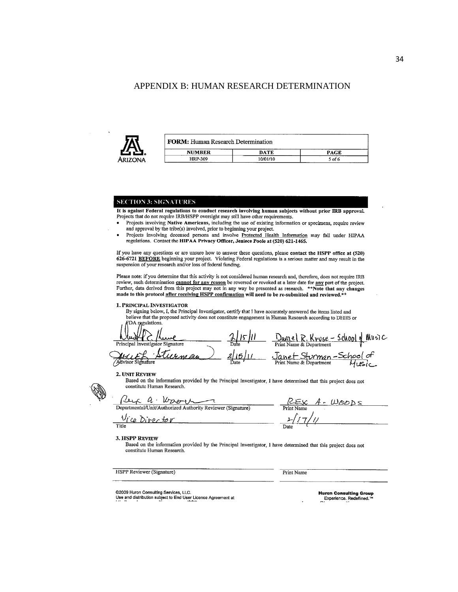## APPENDIX B: HUMAN RESEARCH DETERMINATION



| <b>FORM:</b> Human Research Determination |             |        |  |
|-------------------------------------------|-------------|--------|--|
| <b>NUMBER</b><br>---                      | <b>DATE</b> | PAGE   |  |
| <b>HRP-309</b>                            | 10/01/10    | 5 of 6 |  |

#### **SECTION 3: SIGNATURES**

It is against Federal regulations to conduct research involving human subjects without prior IRB approval. Projects that do not require IRB/HSPP oversight may still have other requirements.

- Projects involving Native Americans, including the use of existing information or specimens, require review and approval by the tribe(s) involved, prior to beginning your project.
- Projects involving deceased persons and involve Protected Health Information may fall under HIPAA regulations. Contact the HIPAA Privacy Officer, Jeniece Poole at (520) 621-1465.

If you have any questions or are unsure how to answer these questions, please contact the HSPP office at (520) 626-6721 BEFORE beginning your project. Violating Federal regulations is a serious matter and may result in the suspension of your research and/or loss of federal funding.

Please note: if you determine that this activity is not considered human research and, therefore, does not require IRB review, such determination cannot for any reason be reversed or revoked at a later date for any part of the project. Further, data derived from this project may not in any way be presented as research. \*\*Note that any changes made to this protocol after receiving HSPP confirmation will need to be re-submitted and reviewed.\*\*

1. PRINCIPAL INVESTIGATOR

By signing below, I, the Principal Investigator, certify that I have accurately answered the items listed and believe that the proposed activity does not constitute engagement in Human Research according to DHHS or DA regulations.

Davis el R. Kruse - School of Music Principal Investigator Signature Janet Sturman-School of<br>Print Name & Department Husic Advisor signature

#### 2. UNIT REVIEW

Based on the information provided by the Principal Investigator, I have determined that this project does not constitute Human Research.

Per a Wyer 1

Vice Director

 $WODS$ 

Title

#### 3. HSPP REVIEW

Based on the information provided by the Principal Investigator, I have determined that this project does not constitute Human Research.

**HSPP Reviewer (Signature)** 

**Print Name** 

@2009 Huron Consulting Services, LLC.

Use and distribution subject to End User License Agreement at

**Huron Consulting Group** Experience. Redefined.™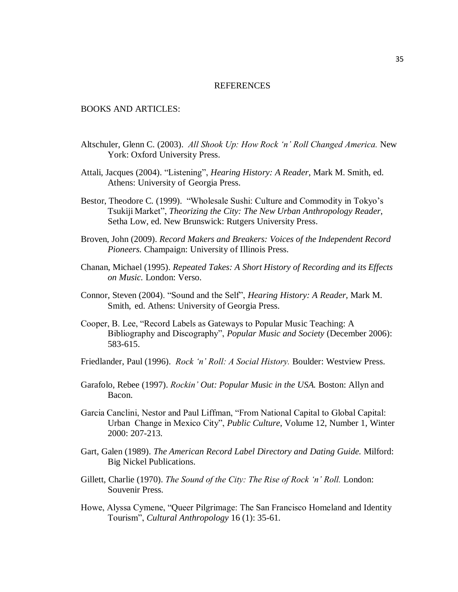#### **REFERENCES**

## BOOKS AND ARTICLES:

- Altschuler, Glenn C. (2003). *All Shook Up: How Rock 'n' Roll Changed America.* New York: Oxford University Press.
- Attali, Jacques (2004). "Listening", *Hearing History: A Reader*, Mark M. Smith, ed. Athens: University of Georgia Press.
- Bestor, Theodore C. (1999). "Wholesale Sushi: Culture and Commodity in Tokyo's Tsukiji Market", *Theorizing the City: The New Urban Anthropology Reader*, Setha Low, ed. New Brunswick: Rutgers University Press.
- Broven, John (2009). *Record Makers and Breakers: Voices of the Independent Record Pioneers.* Champaign: University of Illinois Press.
- Chanan, Michael (1995). *Repeated Takes: A Short History of Recording and its Effects on Music.* London: Verso.
- Connor, Steven (2004). "Sound and the Self", *Hearing History: A Reader,* Mark M. Smith, ed. Athens: University of Georgia Press.
- Cooper, B. Lee, "Record Labels as Gateways to Popular Music Teaching: A Bibliography and Discography", *Popular Music and Society* (December 2006): 583-615.
- Friedlander, Paul (1996). *Rock 'n' Roll: A Social History.* Boulder: Westview Press.
- Garafolo, Rebee (1997). *Rockin' Out: Popular Music in the USA.* Boston: Allyn and Bacon.
- Garcia Canclini, Nestor and Paul Liffman, "From National Capital to Global Capital: Urban Change in Mexico City", *Public Culture*, Volume 12, Number 1, Winter 2000: 207-213.
- Gart, Galen (1989). *The American Record Label Directory and Dating Guide.* Milford: Big Nickel Publications.
- Gillett, Charlie (1970). *The Sound of the City: The Rise of Rock 'n' Roll.* London: Souvenir Press.
- Howe, Alyssa Cymene, "Queer Pilgrimage: The San Francisco Homeland and Identity Tourism", *Cultural Anthropology* 16 (1): 35-61.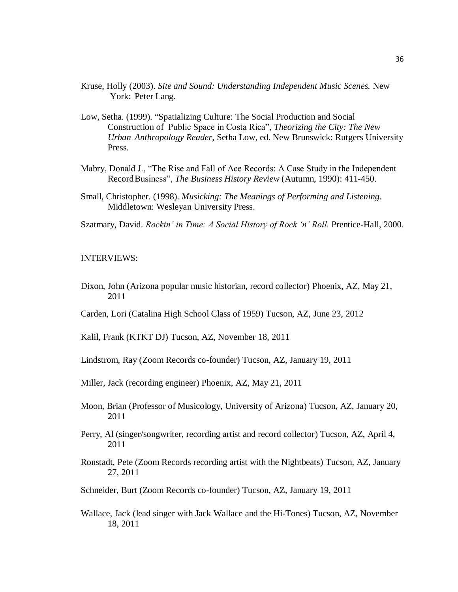- Kruse, Holly (2003). *Site and Sound: Understanding Independent Music Scenes.* New York: Peter Lang.
- Low, Setha. (1999). "Spatializing Culture: The Social Production and Social Construction of Public Space in Costa Rica", *Theorizing the City: The New Urban Anthropology Reader,* Setha Low, ed. New Brunswick: Rutgers University Press.
- Mabry, Donald J., "The Rise and Fall of Ace Records: A Case Study in the Independent RecordBusiness", *The Business History Review* (Autumn, 1990): 411-450.
- Small, Christopher. (1998). *Musicking: The Meanings of Performing and Listening.*  Middletown: Wesleyan University Press.
- Szatmary, David. *Rockin' in Time: A Social History of Rock 'n' Roll.* Prentice-Hall, 2000.

#### INTERVIEWS:

- Dixon, John (Arizona popular music historian, record collector) Phoenix, AZ, May 21, 2011
- Carden, Lori (Catalina High School Class of 1959) Tucson, AZ, June 23, 2012

Kalil, Frank (KTKT DJ) Tucson, AZ, November 18, 2011

- Lindstrom, Ray (Zoom Records co-founder) Tucson, AZ, January 19, 2011
- Miller, Jack (recording engineer) Phoenix, AZ, May 21, 2011
- Moon, Brian (Professor of Musicology, University of Arizona) Tucson, AZ, January 20, 2011
- Perry, Al (singer/songwriter, recording artist and record collector) Tucson, AZ, April 4, 2011
- Ronstadt, Pete (Zoom Records recording artist with the Nightbeats) Tucson, AZ, January 27, 2011
- Schneider, Burt (Zoom Records co-founder) Tucson, AZ, January 19, 2011
- Wallace, Jack (lead singer with Jack Wallace and the Hi-Tones) Tucson, AZ, November 18, 2011